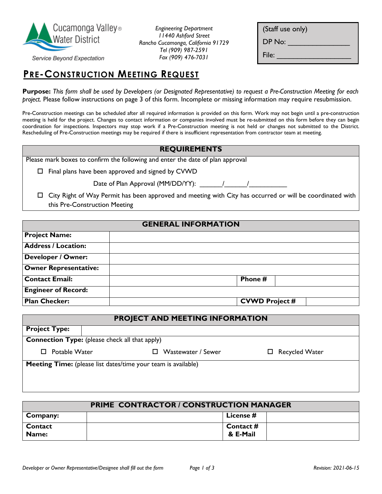

*Engineering Department 11440 Ashford Street Rancho Cucamonga, California 91729 Tel (909) 987-2591 Fax (909) 476-7031*

| (Staff use only) |
|------------------|
| DP No:           |
| File:            |

Service Beyond Expectation

# **PRE-CONSTRUCTION MEETING REQUEST**

**Purpose:** *This form shall be used by Developers (or Designated Representative) to request a Pre-Construction Meeting for each project.* Please follow instructions on page 3 of this form. Incomplete or missing information may require resubmission.

Pre-Construction meetings can be scheduled after all required information is provided on this form. Work may not begin until a pre-construction meeting is held for the project. Changes to contact information or companies involved must be re-submitted on this form before they can begin coordination for inspections. Inspectors may stop work if a Pre-Construction meeting is not held or changes not submitted to the District. Rescheduling of Pre-Construction meetings may be required if there is insufficient representation from contractor team at meeting.

## **REQUIREMENTS**

| Please mark boxes to confirm the following and enter the date of plan approval |  |  |
|--------------------------------------------------------------------------------|--|--|
|                                                                                |  |  |

 $\square$  Final plans have been approved and signed by CVWD

Date of Plan Approval (MM/DD/YY):  $\qquad$  /

 City Right of Way Permit has been approved and meeting with City has occurred or will be coordinated with this Pre-Construction Meeting

#### **GENERAL INFORMATION**

| <b>Project Name:</b>         |                       |
|------------------------------|-----------------------|
| <b>Address / Location:</b>   |                       |
| <b>Developer / Owner:</b>    |                       |
| <b>Owner Representative:</b> |                       |
| <b>Contact Email:</b>        | Phone #               |
| <b>Engineer of Record:</b>   |                       |
| <b>Plan Checker:</b>         | <b>CVWD Project #</b> |

| PROJECT AND MEETING INFORMATION                       |                                                                      |                    |                       |
|-------------------------------------------------------|----------------------------------------------------------------------|--------------------|-----------------------|
| <b>Project Type:</b>                                  |                                                                      |                    |                       |
| <b>Connection Type:</b> (please check all that apply) |                                                                      |                    |                       |
| Potable Water<br>П.                                   | $\mathsf{L}$                                                         | Wastewater / Sewer | $\Box$ Recycled Water |
|                                                       | <b>Meeting Time:</b> (please list dates/time your team is available) |                    |                       |

| <b>PRIME CONTRACTOR / CONSTRUCTION MANAGER</b> |  |           |  |
|------------------------------------------------|--|-----------|--|
| Company:                                       |  | License # |  |
| Contact                                        |  | Contact # |  |
| Name:                                          |  | & E-Mail  |  |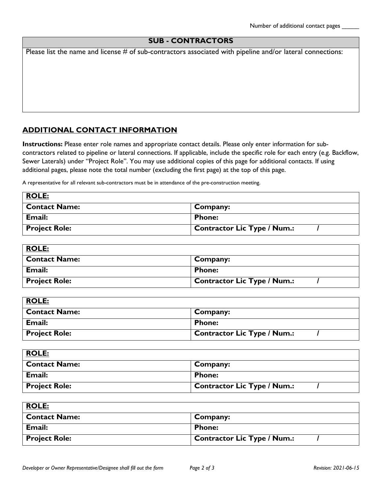## **SUB - CONTRACTORS**

Please list the name and license  $#$  of sub-contractors associated with pipeline and/or lateral connections:

## **ADDITIONAL CONTACT INFORMATION**

**Instructions:** Please enter role names and appropriate contact details. Please only enter information for subcontractors related to pipeline or lateral connections. If applicable, include the specific role for each entry (e.g. Backflow, Sewer Laterals) under "Project Role". You may use additional copies of this page for additional contacts. If using additional pages, please note the total number (excluding the first page) at the top of this page.

A representative for all relevant sub-contractors must be in attendance of the pre-construction meeting.

| <b>ROLE:</b>         |                                    |
|----------------------|------------------------------------|
| <b>Contact Name:</b> | Company:                           |
| Email:               | <b>Phone:</b>                      |
| <b>Project Role:</b> | <b>Contractor Lic Type / Num.:</b> |

| <b>ROLE:</b>         |                                    |
|----------------------|------------------------------------|
| <b>Contact Name:</b> | Company:                           |
| Email:               | <b>Phone:</b>                      |
| <b>Project Role:</b> | <b>Contractor Lic Type / Num.:</b> |

| <b>ROLE:</b>         |                                    |
|----------------------|------------------------------------|
| <b>Contact Name:</b> | Company:                           |
| Email:               | <b>Phone:</b>                      |
| <b>Project Role:</b> | <b>Contractor Lic Type / Num.:</b> |

| <b>ROLE:</b>         |                                    |
|----------------------|------------------------------------|
| <b>Contact Name:</b> | Company:                           |
| Email:               | <b>Phone:</b>                      |
| <b>Project Role:</b> | <b>Contractor Lic Type / Num.:</b> |

| <b>ROLE:</b>         |                             |
|----------------------|-----------------------------|
| <b>Contact Name:</b> | Company:                    |
| Email:               | <b>Phone:</b>               |
| <b>Project Role:</b> | Contractor Lic Type / Num.: |